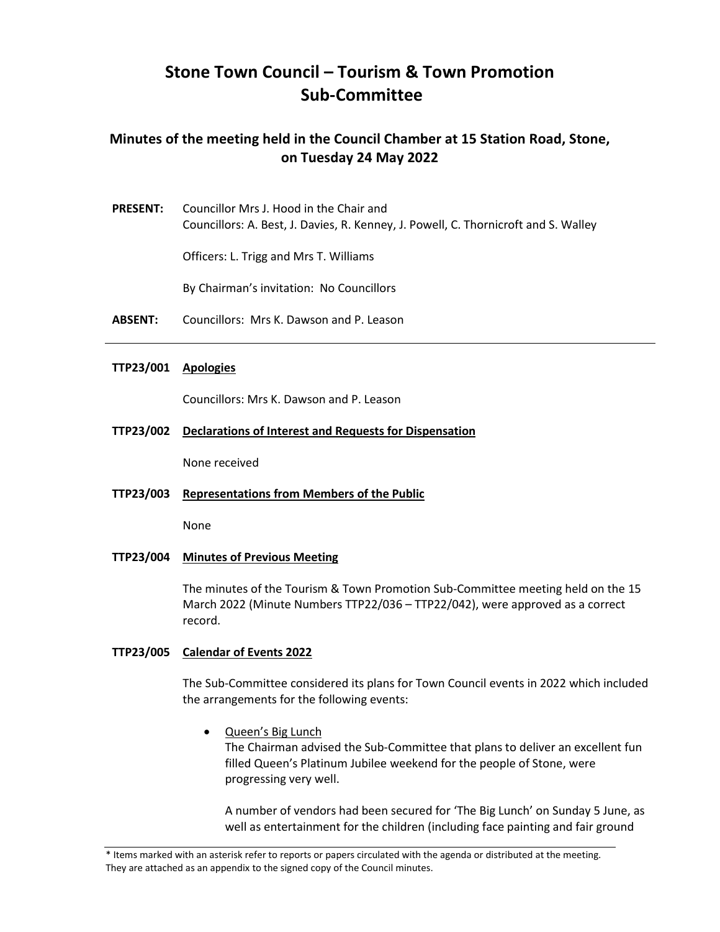# **Stone Town Council – Tourism & Town Promotion Sub-Committee**

# **Minutes of the meeting held in the Council Chamber at 15 Station Road, Stone, on Tuesday 24 May 2022**

**PRESENT:** Councillor Mrs J. Hood in the Chair and Councillors: A. Best, J. Davies, R. Kenney, J. Powell, C. Thornicroft and S. Walley

Officers: L. Trigg and Mrs T. Williams

By Chairman's invitation: No Councillors

**ABSENT:** Councillors: Mrs K. Dawson and P. Leason

#### **TTP23/001 Apologies**

Councillors: Mrs K. Dawson and P. Leason

**TTP23/002 Declarations of Interest and Requests for Dispensation** 

None received

**TTP23/003 Representations from Members of the Public** 

None

**TTP23/004 Minutes of Previous Meeting** 

The minutes of the Tourism & Town Promotion Sub-Committee meeting held on the 15 March 2022 (Minute Numbers TTP22/036 – TTP22/042), were approved as a correct record.

#### **TTP23/005 Calendar of Events 2022**

 The Sub-Committee considered its plans for Town Council events in 2022 which included the arrangements for the following events:

• Queen's Big Lunch

 progressing very well. The Chairman advised the Sub-Committee that plans to deliver an excellent fun filled Queen's Platinum Jubilee weekend for the people of Stone, were

A number of vendors had been secured for 'The Big Lunch' on Sunday 5 June, as well as entertainment for the children (including face painting and fair ground

<sup>\*</sup> Items marked with an asterisk refer to reports or papers circulated with the agenda or distributed at the meeting. They are attached as an appendix to the signed copy of the Council minutes.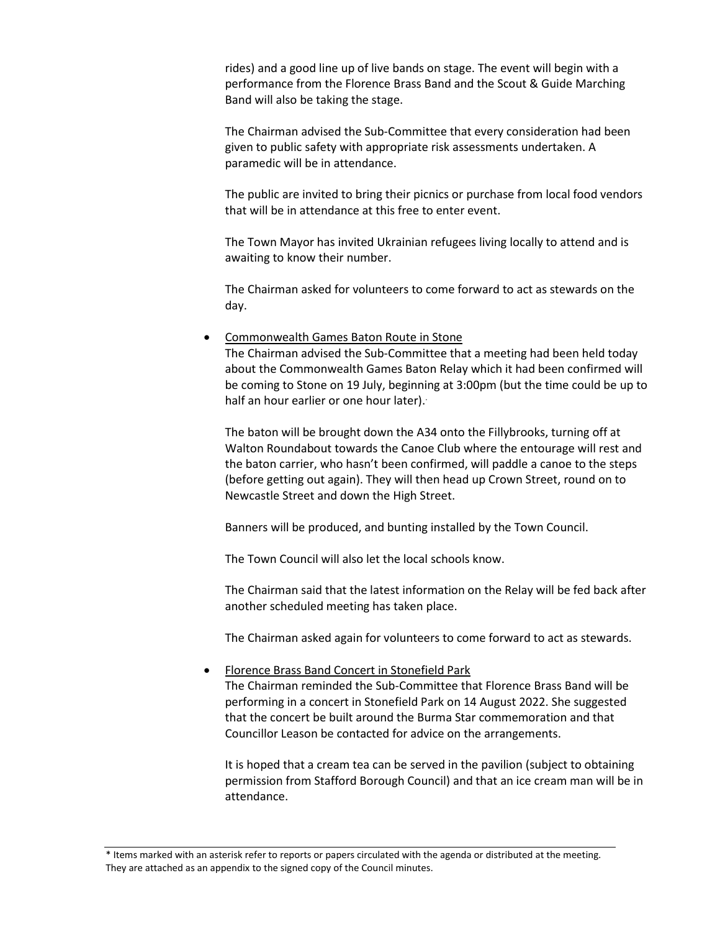rides) and a good line up of live bands on stage. The event will begin with a performance from the Florence Brass Band and the Scout & Guide Marching Band will also be taking the stage.

 The Chairman advised the Sub-Committee that every consideration had been given to public safety with appropriate risk assessments undertaken. A paramedic will be in attendance.

The public are invited to bring their picnics or purchase from local food vendors that will be in attendance at this free to enter event.

The Town Mayor has invited Ukrainian refugees living locally to attend and is awaiting to know their number.

The Chairman asked for volunteers to come forward to act as stewards on the day.

• Commonwealth Games Baton Route in Stone

 The Chairman advised the Sub-Committee that a meeting had been held today about the Commonwealth Games Baton Relay which it had been confirmed will be coming to Stone on 19 July, beginning at 3:00pm (but the time could be up to half an hour earlier or one hour later).

 (before getting out again). They will then head up Crown Street, round on to The baton will be brought down the A34 onto the Fillybrooks, turning off at Walton Roundabout towards the Canoe Club where the entourage will rest and the baton carrier, who hasn't been confirmed, will paddle a canoe to the steps Newcastle Street and down the High Street.

Banners will be produced, and bunting installed by the Town Council.

The Town Council will also let the local schools know.

 The Chairman said that the latest information on the Relay will be fed back after another scheduled meeting has taken place.

The Chairman asked again for volunteers to come forward to act as stewards.

• Florence Brass Band Concert in Stonefield Park

 performing in a concert in Stonefield Park on 14 August 2022. She suggested The Chairman reminded the Sub-Committee that Florence Brass Band will be that the concert be built around the Burma Star commemoration and that Councillor Leason be contacted for advice on the arrangements.

 It is hoped that a cream tea can be served in the pavilion (subject to obtaining permission from Stafford Borough Council) and that an ice cream man will be in attendance.

\* Items marked with an asterisk refer to reports or papers circulated with the agenda or distributed at the meeting. They are attached as an appendix to the signed copy of the Council minutes.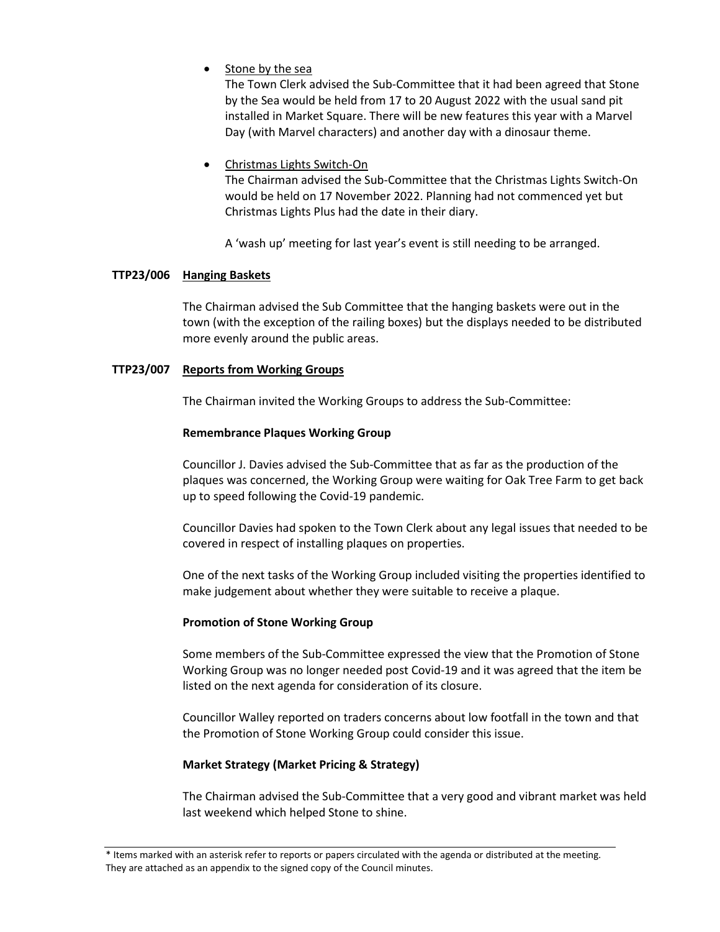• Stone by the sea

The Town Clerk advised the Sub-Committee that it had been agreed that Stone by the Sea would be held from 17 to 20 August 2022 with the usual sand pit installed in Market Square. There will be new features this year with a Marvel Day (with Marvel characters) and another day with a dinosaur theme.

• Christmas Lights Switch-On

The Chairman advised the Sub-Committee that the Christmas Lights Switch-On would be held on 17 November 2022. Planning had not commenced yet but Christmas Lights Plus had the date in their diary.

A 'wash up' meeting for last year's event is still needing to be arranged.

# **TTP23/006 Hanging Baskets**

The Chairman advised the Sub Committee that the hanging baskets were out in the town (with the exception of the railing boxes) but the displays needed to be distributed more evenly around the public areas.

# **TTP23/007 Reports from Working Groups**

The Chairman invited the Working Groups to address the Sub-Committee:

## **Remembrance Plaques Working Group**

Councillor J. Davies advised the Sub-Committee that as far as the production of the plaques was concerned, the Working Group were waiting for Oak Tree Farm to get back up to speed following the Covid-19 pandemic.

Councillor Davies had spoken to the Town Clerk about any legal issues that needed to be covered in respect of installing plaques on properties.

One of the next tasks of the Working Group included visiting the properties identified to make judgement about whether they were suitable to receive a plaque.

## **Promotion of Stone Working Group**

 Working Group was no longer needed post Covid-19 and it was agreed that the item be listed on the next agenda for consideration of its closure. Some members of the Sub-Committee expressed the view that the Promotion of Stone

Councillor Walley reported on traders concerns about low footfall in the town and that the Promotion of Stone Working Group could consider this issue.

## **Market Strategy (Market Pricing & Strategy)**

 The Chairman advised the Sub-Committee that a very good and vibrant market was held last weekend which helped Stone to shine.

<sup>\*</sup> Items marked with an asterisk refer to reports or papers circulated with the agenda or distributed at the meeting. They are attached as an appendix to the signed copy of the Council minutes.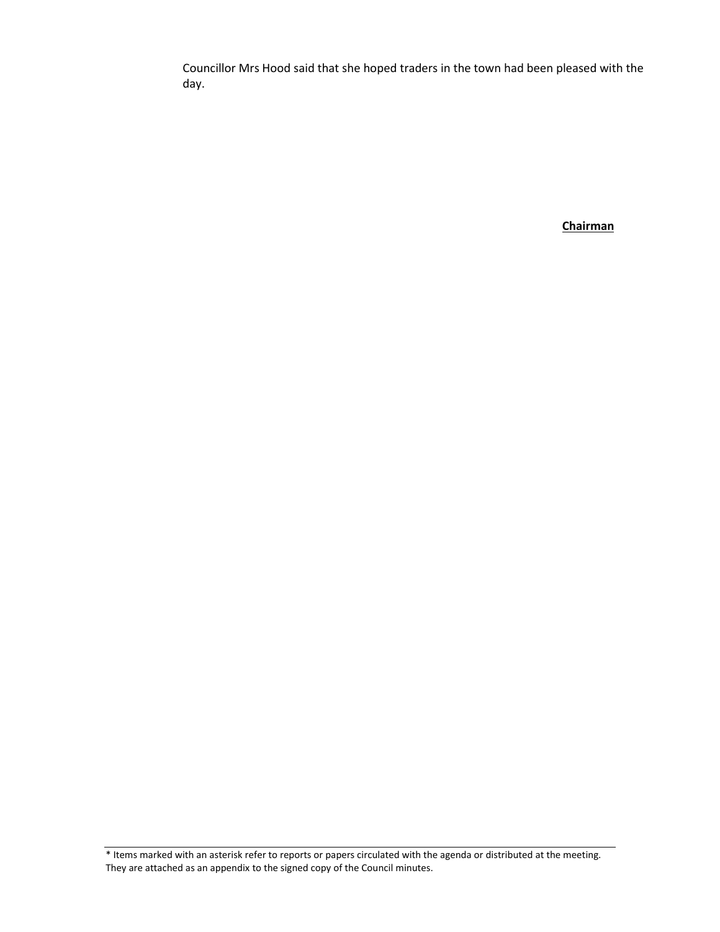Councillor Mrs Hood said that she hoped traders in the town had been pleased with the day.

**Chairman** 

\* Items marked with an asterisk refer to reports or papers circulated with the agenda or distributed at the meeting. They are attached as an appendix to the signed copy of the Council minutes.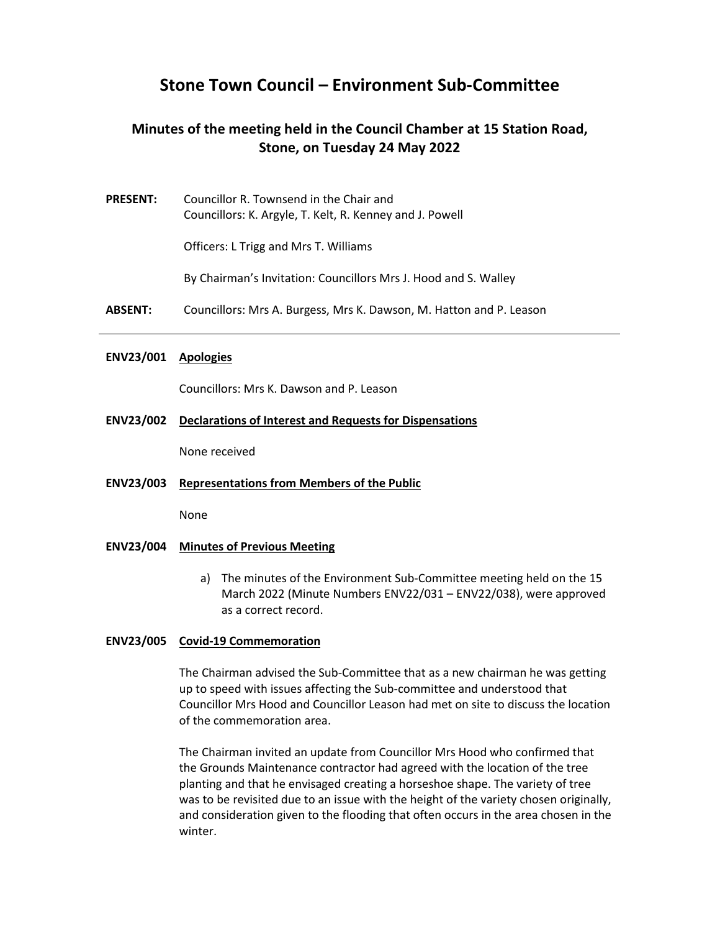# **Stone Town Council – Environment Sub-Committee**

# **Minutes of the meeting held in the Council Chamber at 15 Station Road, Stone, on Tuesday 24 May 2022**

**PRESENT:** Councillor R. Townsend in the Chair and Councillors: K. Argyle, T. Kelt, R. Kenney and J. Powell

Officers: L Trigg and Mrs T. Williams

By Chairman's Invitation: Councillors Mrs J. Hood and S. Walley

**ABSENT:** Councillors: Mrs A. Burgess, Mrs K. Dawson, M. Hatton and P. Leason

#### **ENV23/001 Apologies**

Councillors: Mrs K. Dawson and P. Leason

#### **ENV23/002 Declarations of Interest and Requests for Dispensations**

None received

**ENV23/003 Representations from Members of the Public** 

None

- **ENV23/004 Minutes of Previous Meeting** 
	- a) The minutes of the Environment Sub-Committee meeting held on the 15 March 2022 (Minute Numbers ENV22/031 – ENV22/038), were approved as a correct record.

#### **ENV23/005 Covid-19 Commemoration**

 up to speed with issues affecting the Sub-committee and understood that The Chairman advised the Sub-Committee that as a new chairman he was getting Councillor Mrs Hood and Councillor Leason had met on site to discuss the location of the commemoration area.

 planting and that he envisaged creating a horseshoe shape. The variety of tree The Chairman invited an update from Councillor Mrs Hood who confirmed that the Grounds Maintenance contractor had agreed with the location of the tree was to be revisited due to an issue with the height of the variety chosen originally, and consideration given to the flooding that often occurs in the area chosen in the winter.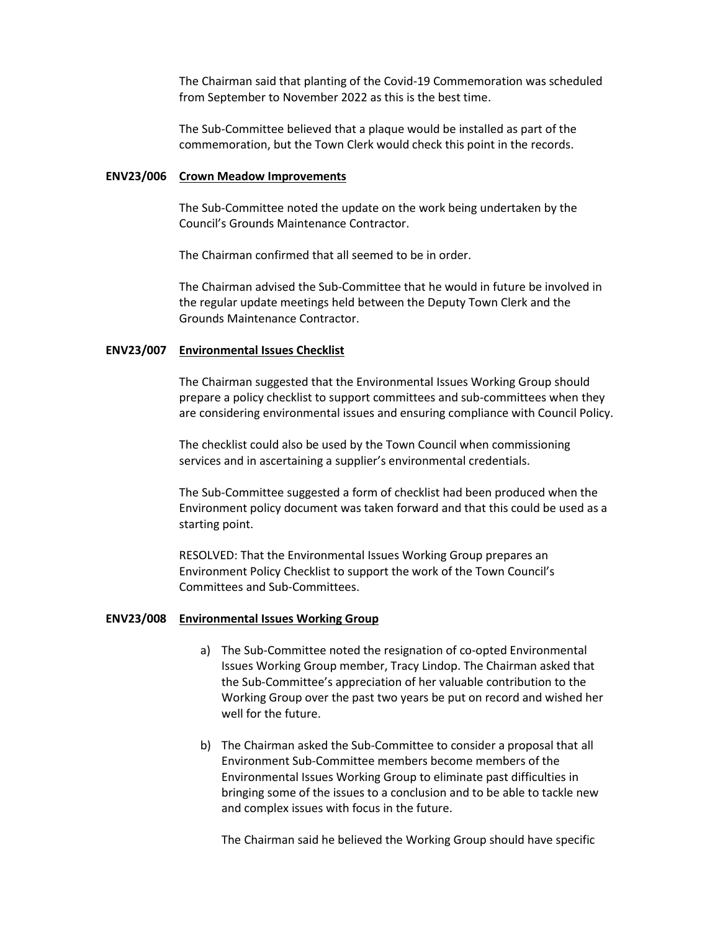The Chairman said that planting of the Covid-19 Commemoration was scheduled from September to November 2022 as this is the best time.

The Sub-Committee believed that a plaque would be installed as part of the commemoration, but the Town Clerk would check this point in the records.

#### **ENV23/006 Crown Meadow Improvements**

 The Sub-Committee noted the update on the work being undertaken by the Council's Grounds Maintenance Contractor.

The Chairman confirmed that all seemed to be in order.

The Chairman advised the Sub-Committee that he would in future be involved in the regular update meetings held between the Deputy Town Clerk and the Grounds Maintenance Contractor.

#### **ENV23/007 Environmental Issues Checklist**

The Chairman suggested that the Environmental Issues Working Group should prepare a policy checklist to support committees and sub-committees when they are considering environmental issues and ensuring compliance with Council Policy.

The checklist could also be used by the Town Council when commissioning services and in ascertaining a supplier's environmental credentials.

 The Sub-Committee suggested a form of checklist had been produced when the Environment policy document was taken forward and that this could be used as a starting point.

RESOLVED: That the Environmental Issues Working Group prepares an Environment Policy Checklist to support the work of the Town Council's Committees and Sub-Committees.

#### **ENV23/008 Environmental Issues Working Group**

- Working Group over the past two years be put on record and wished her a) The Sub-Committee noted the resignation of co-opted Environmental Issues Working Group member, Tracy Lindop. The Chairman asked that the Sub-Committee's appreciation of her valuable contribution to the well for the future.
- b) The Chairman asked the Sub-Committee to consider a proposal that all Environment Sub-Committee members become members of the Environmental Issues Working Group to eliminate past difficulties in bringing some of the issues to a conclusion and to be able to tackle new and complex issues with focus in the future.

The Chairman said he believed the Working Group should have specific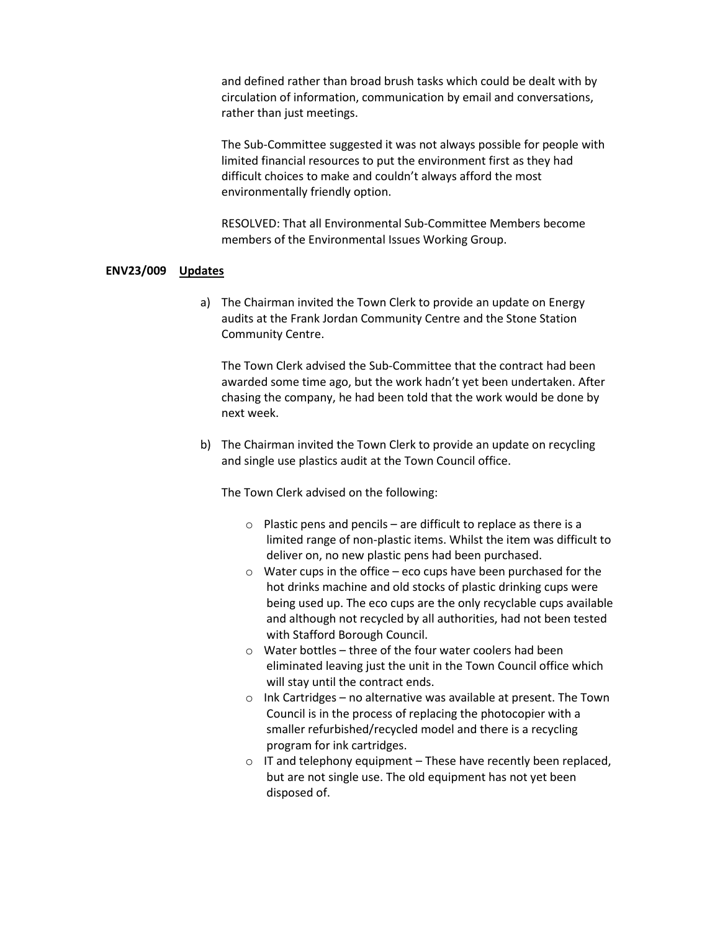circulation of information, communication by email and conversations, and defined rather than broad brush tasks which could be dealt with by rather than just meetings.

 difficult choices to make and couldn't always afford the most The Sub-Committee suggested it was not always possible for people with limited financial resources to put the environment first as they had environmentally friendly option.

RESOLVED: That all Environmental Sub-Committee Members become members of the Environmental Issues Working Group.

#### **ENV23/009 Updates**

a) The Chairman invited the Town Clerk to provide an update on Energy audits at the Frank Jordan Community Centre and the Stone Station Community Centre.

The Town Clerk advised the Sub-Committee that the contract had been awarded some time ago, but the work hadn't yet been undertaken. After chasing the company, he had been told that the work would be done by next week.

b) The Chairman invited the Town Clerk to provide an update on recycling and single use plastics audit at the Town Council office.

The Town Clerk advised on the following:

- $\circ$  Plastic pens and pencils are difficult to replace as there is a limited range of non-plastic items. Whilst the item was difficult to deliver on, no new plastic pens had been purchased.
- $\circ$  Water cups in the office eco cups have been purchased for the hot drinks machine and old stocks of plastic drinking cups were being used up. The eco cups are the only recyclable cups available and although not recycled by all authorities, had not been tested with Stafford Borough Council.
- o Water bottles three of the four water coolers had been eliminated leaving just the unit in the Town Council office which will stay until the contract ends.
- o Ink Cartridges no alternative was available at present. The Town Council is in the process of replacing the photocopier with a smaller refurbished/recycled model and there is a recycling program for ink cartridges.
- $\circ$  IT and telephony equipment These have recently been replaced, but are not single use. The old equipment has not yet been disposed of.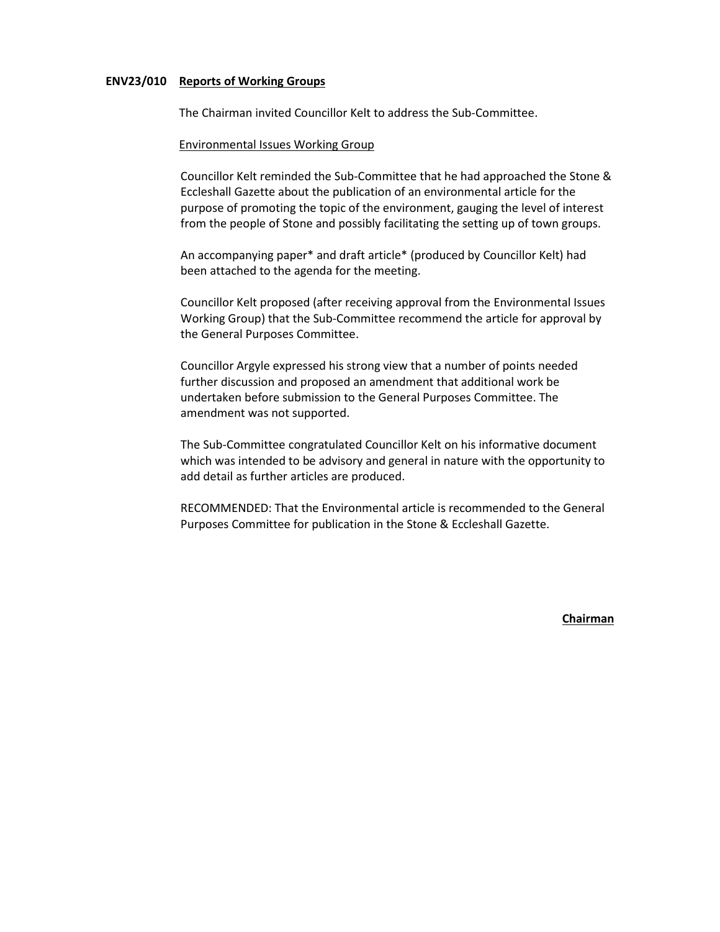#### **ENV23/010 Reports of Working Groups**

The Chairman invited Councillor Kelt to address the Sub-Committee.

#### Environmental Issues Working Group

 Eccleshall Gazette about the publication of an environmental article for the Councillor Kelt reminded the Sub-Committee that he had approached the Stone & purpose of promoting the topic of the environment, gauging the level of interest from the people of Stone and possibly facilitating the setting up of town groups.

An accompanying paper\* and draft article\* (produced by Councillor Kelt) had been attached to the agenda for the meeting.

Councillor Kelt proposed (after receiving approval from the Environmental Issues Working Group) that the Sub-Committee recommend the article for approval by the General Purposes Committee.

Councillor Argyle expressed his strong view that a number of points needed further discussion and proposed an amendment that additional work be undertaken before submission to the General Purposes Committee. The amendment was not supported.

 which was intended to be advisory and general in nature with the opportunity to The Sub-Committee congratulated Councillor Kelt on his informative document add detail as further articles are produced.

RECOMMENDED: That the Environmental article is recommended to the General Purposes Committee for publication in the Stone & Eccleshall Gazette.

**Chairman**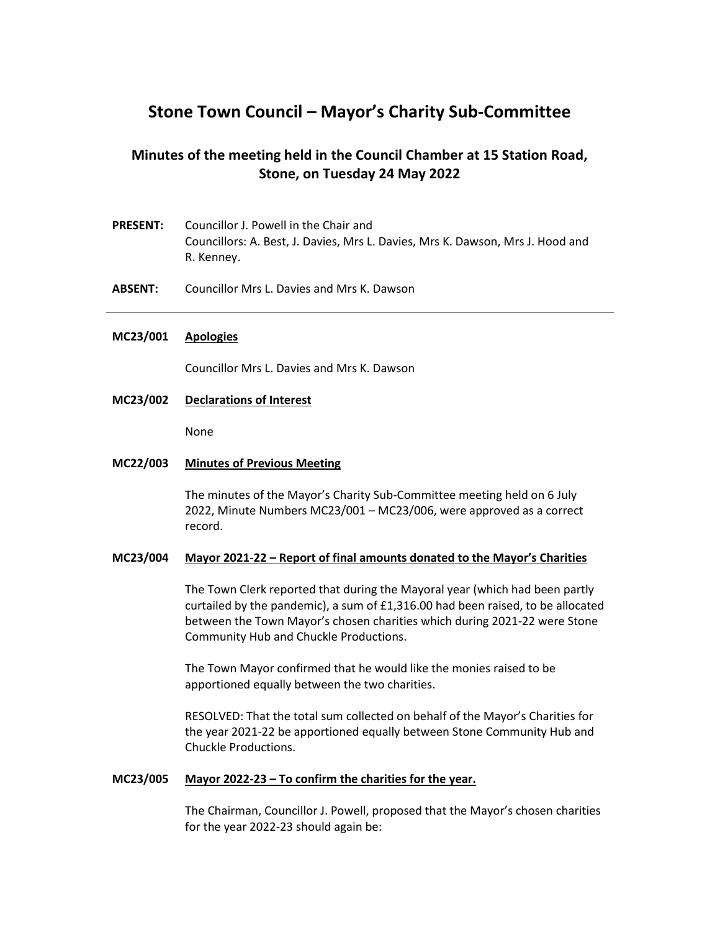# **Stone Town Council – Mayor's Charity Sub-Committee**

# **Minutes of the meeting held in the Council Chamber at 15 Station Road, Stone, on Tuesday 24 May 2022**

- **PRESENT:** Councillor J. Powell in the Chair and Councillors: A. Best, J. Davies, Mrs L. Davies, Mrs K. Dawson, Mrs J. Hood and R. Kenney.
- **ABSENT:** Councillor Mrs L. Davies and Mrs K. Dawson

#### **MC23/001 Apologies**

Councillor Mrs L. Davies and Mrs K. Dawson

#### **MC23/002 Declarations of Interest**

None

#### **MC22/003 Minutes of Previous Meeting**

 The minutes of the Mayor's Charity Sub-Committee meeting held on 6 July 2022, Minute Numbers MC23/001 – MC23/006, were approved as a correct record.

#### **MC23/004 Mayor 2021-22 – Report of final amounts donated to the Mayor's Charities**

The Town Clerk reported that during the Mayoral year (which had been partly curtailed by the pandemic), a sum of £1,316.00 had been raised, to be allocated between the Town Mayor's chosen charities which during 2021-22 were Stone Community Hub and Chuckle Productions.

The Town Mayor confirmed that he would like the monies raised to be apportioned equally between the two charities.

RESOLVED: That the total sum collected on behalf of the Mayor's Charities for the year 2021-22 be apportioned equally between Stone Community Hub and Chuckle Productions.

#### **MC23/005 Mayor 2022-23 – To confirm the charities for the year.**

The Chairman, Councillor J. Powell, proposed that the Mayor's chosen charities for the year 2022-23 should again be: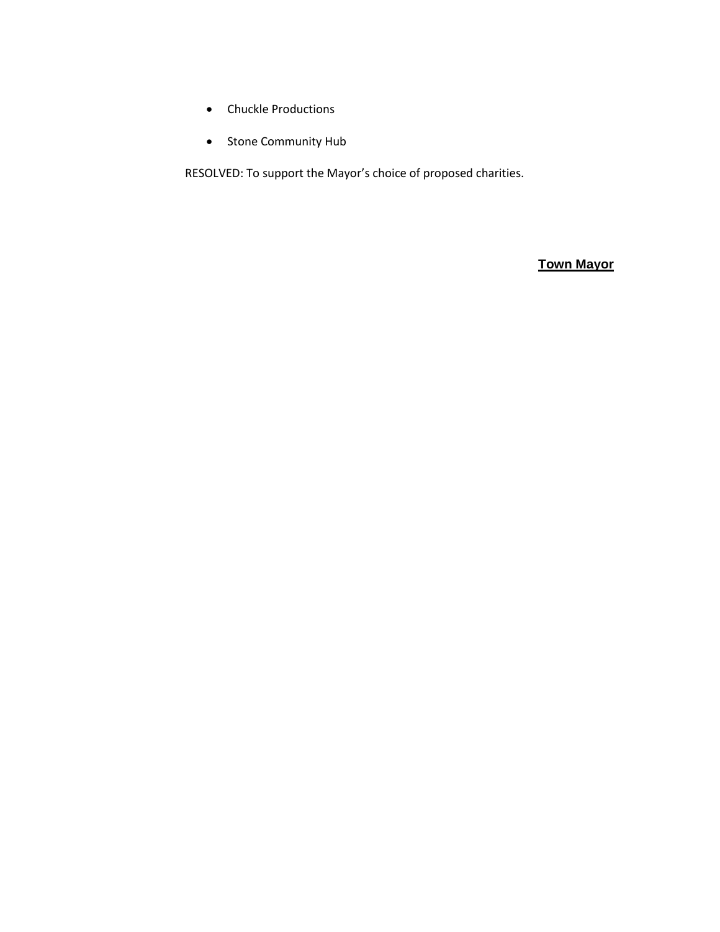- Chuckle Productions
- Stone Community Hub

RESOLVED: To support the Mayor's choice of proposed charities.

**Town Mayor**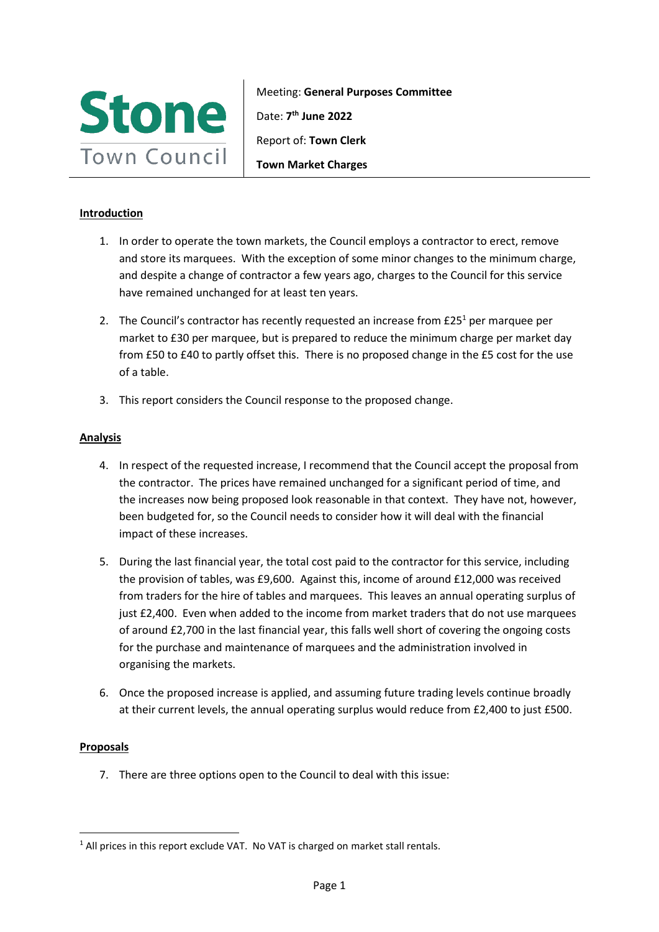

Meeting: **General Purposes Committee**  Date: **7th June 2022**  Report of: **Town Clerk Town Market Charges** 

# **Introduction**

- 1. In order to operate the town markets, the Council employs a contractor to erect, remove and store its marquees. With the exception of some minor changes to the minimum charge, and despite a change of contractor a few years ago, charges to the Council for this service have remained unchanged for at least ten years.
- from £50 to £40 to partly offset this. There is no proposed change in the £5 cost for the use 2. The Council's contractor has recently requested an increase from  $£25<sup>1</sup>$  per marquee per market to £30 per marquee, but is prepared to reduce the minimum charge per market day of a table.
- 3. This report considers the Council response to the proposed change.

## **Analysis**

- the increases now being proposed look reasonable in that context. They have not, however, 4. In respect of the requested increase, I recommend that the Council accept the proposal from the contractor. The prices have remained unchanged for a significant period of time, and been budgeted for, so the Council needs to consider how it will deal with the financial impact of these increases.
- the provision of tables, was £9,600. Against this, income of around £12,000 was received from traders for the hire of tables and marquees. This leaves an annual operating surplus of just £2,400. Even when added to the income from market traders that do not use marquees 5. During the last financial year, the total cost paid to the contractor for this service, including of around £2,700 in the last financial year, this falls well short of covering the ongoing costs for the purchase and maintenance of marquees and the administration involved in organising the markets.
- at their current levels, the annual operating surplus would reduce from £2,400 to just £500. 6. Once the proposed increase is applied, and assuming future trading levels continue broadly

## **Proposals**

7. There are three options open to the Council to deal with this issue:

<sup>&</sup>lt;sup>1</sup> All prices in this report exclude VAT. No VAT is charged on market stall rentals.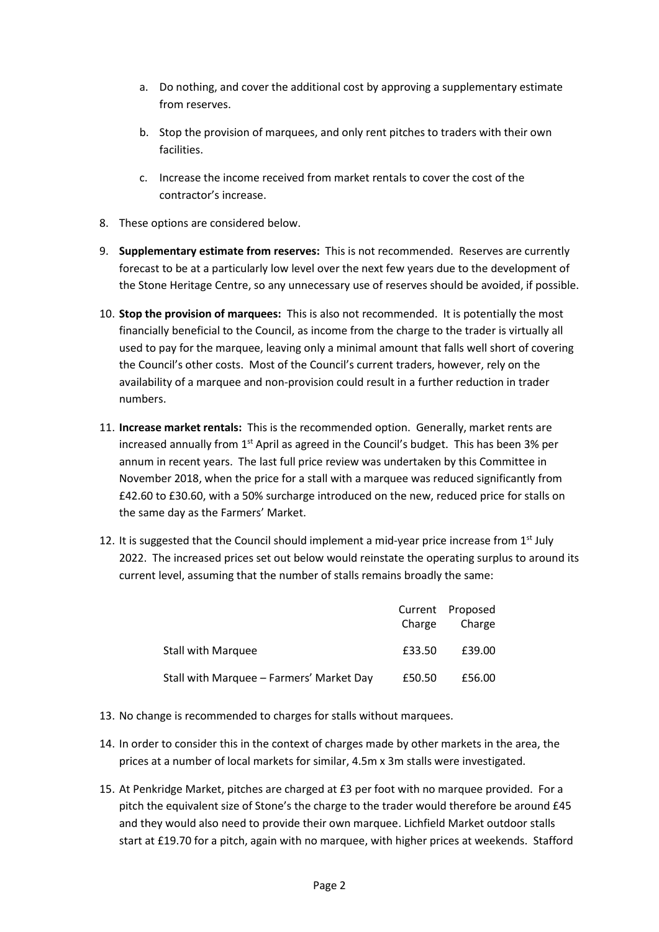- a. Do nothing, and cover the additional cost by approving a supplementary estimate from reserves.
- b. Stop the provision of marquees, and only rent pitches to traders with their own facilities.
- c. Increase the income received from market rentals to cover the cost of the contractor's increase.
- 8. These options are considered below.
- 9. **Supplementary estimate from reserves:** This is not recommended. Reserves are currently the Stone Heritage Centre, so any unnecessary use of reserves should be avoided, if possible. forecast to be at a particularly low level over the next few years due to the development of
- 10. **Stop the provision of marquees:** This is also not recommended. It is potentially the most the Council's other costs. Most of the Council's current traders, however, rely on the financially beneficial to the Council, as income from the charge to the trader is virtually all used to pay for the marquee, leaving only a minimal amount that falls well short of covering availability of a marquee and non-provision could result in a further reduction in trader numbers.
- 11. **Increase market rentals:** This is the recommended option. Generally, market rents are increased annually from  $1<sup>st</sup>$  April as agreed in the Council's budget. This has been 3% per annum in recent years. The last full price review was undertaken by this Committee in November 2018, when the price for a stall with a marquee was reduced significantly from £42.60 to £30.60, with a 50% surcharge introduced on the new, reduced price for stalls on the same day as the Farmers' Market.
- 2022. The increased prices set out below would reinstate the operating surplus to around its 12. It is suggested that the Council should implement a mid-year price increase from  $1<sup>st</sup>$  July current level, assuming that the number of stalls remains broadly the same:

|                                          | Charge | Current Proposed<br>Charge |
|------------------------------------------|--------|----------------------------|
| <b>Stall with Marquee</b>                | £33.50 | £39.00                     |
| Stall with Marquee – Farmers' Market Day | £50.50 | £56.00                     |

- 13. No change is recommended to charges for stalls without marquees.
- 14. In order to consider this in the context of charges made by other markets in the area, the prices at a number of local markets for similar, 4.5m x 3m stalls were investigated.
- start at £19.70 for a pitch, again with no marquee, with higher prices at weekends. Stafford 15. At Penkridge Market, pitches are charged at £3 per foot with no marquee provided. For a pitch the equivalent size of Stone's the charge to the trader would therefore be around £45 and they would also need to provide their own marquee. Lichfield Market outdoor stalls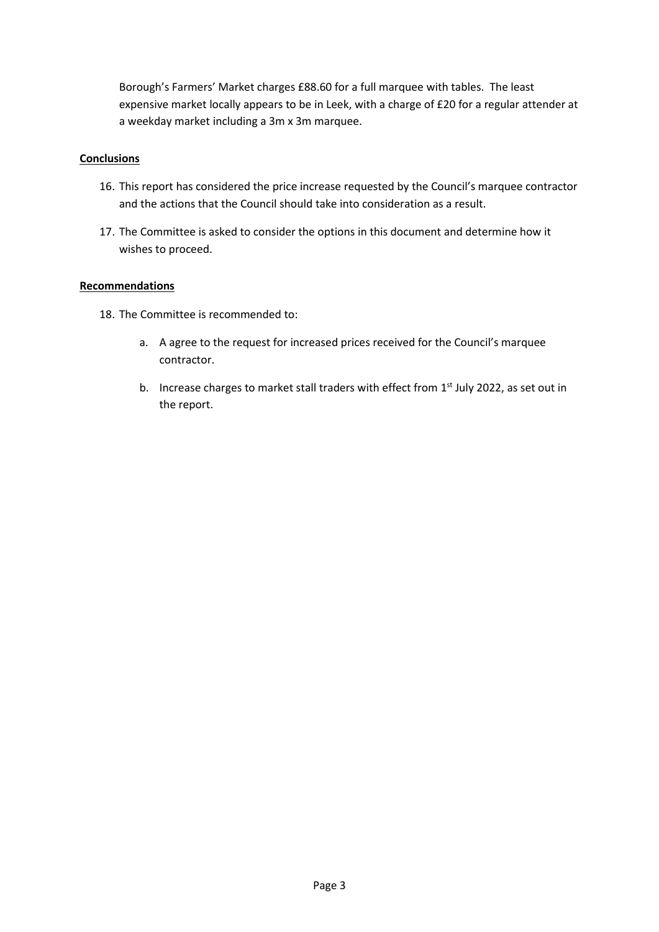Borough's Farmers' Market charges £88.60 for a full marquee with tables. The least expensive market locally appears to be in Leek, with a charge of £20 for a regular attender at a weekday market including a 3m x 3m marquee.

# **Conclusions**

- 16. This report has considered the price increase requested by the Council's marquee contractor and the actions that the Council should take into consideration as a result.
- 17. The Committee is asked to consider the options in this document and determine how it wishes to proceed.

# **Recommendations**

- 18. The Committee is recommended to:
	- a. A agree to the request for increased prices received for the Council's marquee contractor.
	- b. Increase charges to market stall traders with effect from  $1<sup>st</sup>$  July 2022, as set out in the report.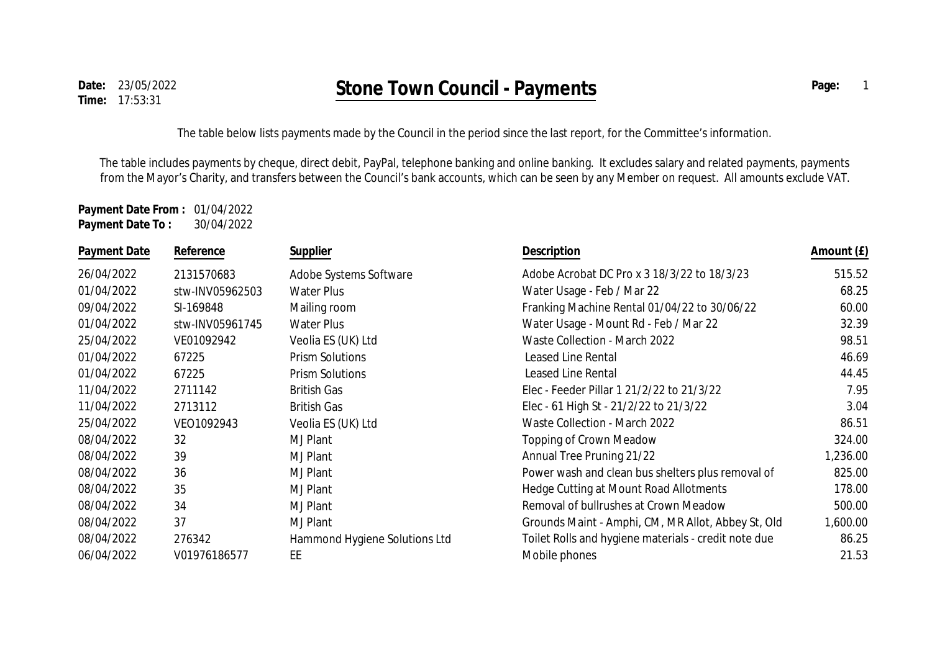The table below lists payments made by the Council in the period since the last report, for the Committee's information.

The table includes payments by cheque, direct debit, PayPal, telephone banking and online banking. It excludes salary and related payments, payments from the Mayor's Charity, and transfers between the Council's bank accounts, which can be seen by any Member on request. All amounts exclude VAT.

**Payment Date From :** 01/04/2022 **Payment Date To :** 30/04/2022

| Payment Date | Reference       | Supplier                      | Description                                          | Amount (£) |
|--------------|-----------------|-------------------------------|------------------------------------------------------|------------|
| 26/04/2022   | 2131570683      | Adobe Systems Software        | Adobe Acrobat DC Pro x 3 18/3/22 to 18/3/23          | 515.52     |
| 01/04/2022   | stw-INV05962503 | Water Plus                    | Water Usage - Feb / Mar 22                           | 68.25      |
| 09/04/2022   | SI-169848       | Mailing room                  | Franking Machine Rental 01/04/22 to 30/06/22         | 60.00      |
| 01/04/2022   | stw-INV05961745 | <b>Water Plus</b>             | Water Usage - Mount Rd - Feb / Mar 22                | 32.39      |
| 25/04/2022   | VE01092942      | Veolia ES (UK) Ltd            | Waste Collection - March 2022                        | 98.51      |
| 01/04/2022   | 67225           | <b>Prism Solutions</b>        | Leased Line Rental                                   | 46.69      |
| 01/04/2022   | 67225           | <b>Prism Solutions</b>        | Leased Line Rental                                   | 44.45      |
| 11/04/2022   | 2711142         | <b>British Gas</b>            | Elec - Feeder Pillar 1 21/2/22 to 21/3/22            | 7.95       |
| 11/04/2022   | 2713112         | <b>British Gas</b>            | Elec - 61 High St - 21/2/22 to 21/3/22               | 3.04       |
| 25/04/2022   | VEO1092943      | Veolia ES (UK) Ltd            | Waste Collection - March 2022                        | 86.51      |
| 08/04/2022   | 32              | MJ Plant                      | <b>Topping of Crown Meadow</b>                       | 324.00     |
| 08/04/2022   | 39              | MJ Plant                      | Annual Tree Pruning 21/22                            | 1,236.00   |
| 08/04/2022   | 36              | MJ Plant                      | Power wash and clean bus shelters plus removal of    | 825.00     |
| 08/04/2022   | 35              | MJ Plant                      | Hedge Cutting at Mount Road Allotments               | 178.00     |
| 08/04/2022   | 34              | MJ Plant                      | Removal of bullrushes at Crown Meadow                | 500.00     |
| 08/04/2022   | 37              | MJ Plant                      | Grounds Maint - Amphi, CM, MR Allot, Abbey St, Old   | 1,600.00   |
| 08/04/2022   | 276342          | Hammond Hygiene Solutions Ltd | Toilet Rolls and hygiene materials - credit note due | 86.25      |
| 06/04/2022   | V01976186577    | EE.                           | Mobile phones                                        | 21.53      |